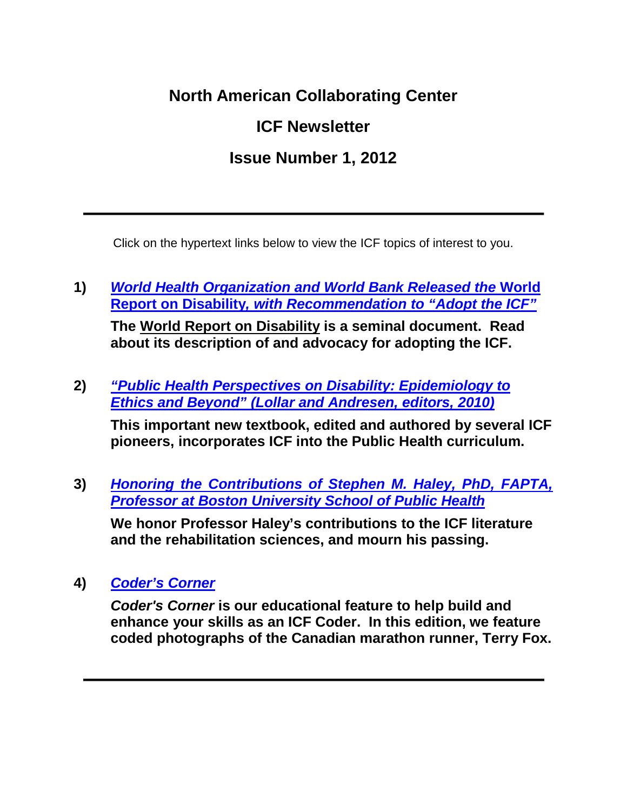# **North American Collaborating Center**

# **ICF Newsletter**

**Issue Number 1, 2012**

Click on the hypertext links below to view the ICF topics of interest to you.

- **1)** *[World Health Organization and World Bank Released the](#page-1-0)* **World Report on Disability***[, with Recommendation to "Adopt the ICF"](#page-1-0)* **The World Report on Disability is a seminal document. Read about its description of and advocacy for adopting the ICF.**
- **2)** *["Public Health Perspectives on](#page-8-0) Disability: Epidemiology to Ethics and [Beyond" \(Lollar and Andresen, editors, 2010\)](#page-8-0)*

**This important new textbook, edited and authored by several ICF pioneers, incorporates ICF into the Public Health curriculum.**

**3)** *[Honoring the Contributions of Stephen M. Haley, PhD, FAPTA,](#page-14-0)  [Professor at Boston University School of Public Health](#page-14-0)*

**We honor Professor Haley's contributions to the ICF literature and the rehabilitation sciences, and mourn his passing.**

**4)** *[Coder's Corner](#page-17-0)*

*Coder's Corner* **is our educational feature to help build and enhance your skills as an ICF Coder. In this edition, we feature coded photographs of the Canadian marathon runner, Terry Fox.**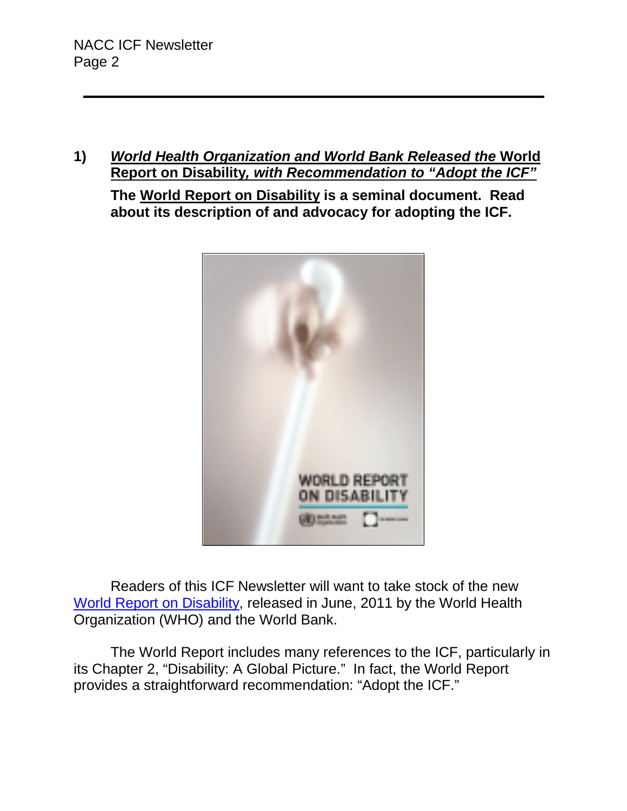<span id="page-1-0"></span>**1)** *World Health Organization and World Bank Released the* **World Report on Disability***, with Recommendation to "Adopt the ICF"* **The World Report on Disability is a seminal document. Read about its description of and advocacy for adopting the ICF.**



Readers of this ICF Newsletter will want to take stock of the new [World Report on Disability,](http://www.who.int/disabilities/world_report/2011/en/index.html) released in June, 2011 by the World Health Organization (WHO) and the World Bank.

The World Report includes many references to the ICF, particularly in its Chapter 2, "Disability: A Global Picture." In fact, the World Report provides a straightforward recommendation: "Adopt the ICF."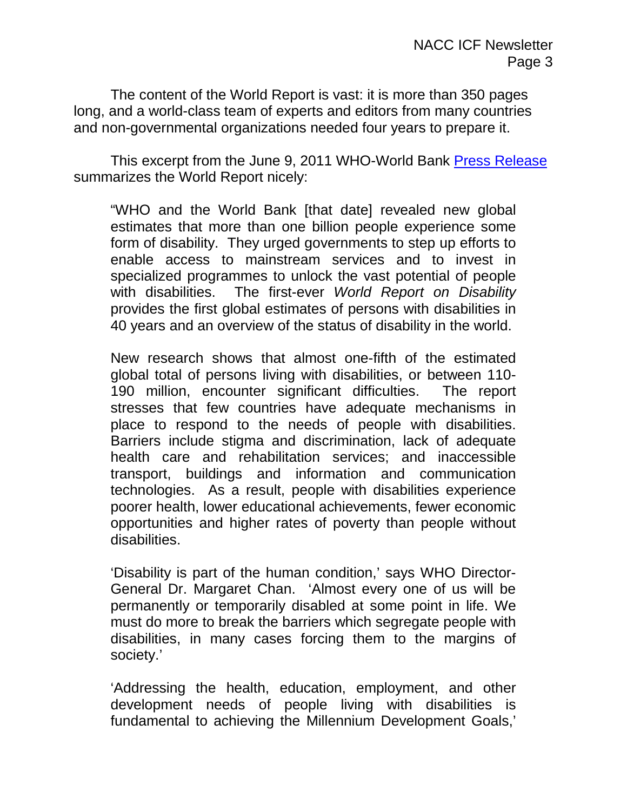The content of the World Report is vast: it is more than 350 pages long, and a world-class team of experts and editors from many countries and non-governmental organizations needed four years to prepare it.

This excerpt from the June 9, 2011 WHO-World Bank [Press Release](http://www.who.int/mediacentre/news/releases/2011/disabilities_20110609/en/index.html) summarizes the World Report nicely:

"WHO and the World Bank [that date] revealed new global estimates that more than one billion people experience some form of disability. They urged governments to step up efforts to enable access to mainstream services and to invest in specialized programmes to unlock the vast potential of people with disabilities. The first-ever *World Report on Disability* provides the first global estimates of persons with disabilities in 40 years and an overview of the status of disability in the world.

New research shows that almost one-fifth of the estimated global total of persons living with disabilities, or between 110- 190 million, encounter significant difficulties. The report stresses that few countries have adequate mechanisms in place to respond to the needs of people with disabilities. Barriers include stigma and discrimination, lack of adequate health care and rehabilitation services; and inaccessible transport, buildings and information and communication technologies. As a result, people with disabilities experience poorer health, lower educational achievements, fewer economic opportunities and higher rates of poverty than people without disabilities.

'Disability is part of the human condition,' says WHO Director-General Dr. Margaret Chan. 'Almost every one of us will be permanently or temporarily disabled at some point in life. We must do more to break the barriers which segregate people with disabilities, in many cases forcing them to the margins of society.'

'Addressing the health, education, employment, and other development needs of people living with disabilities is fundamental to achieving the Millennium Development Goals,'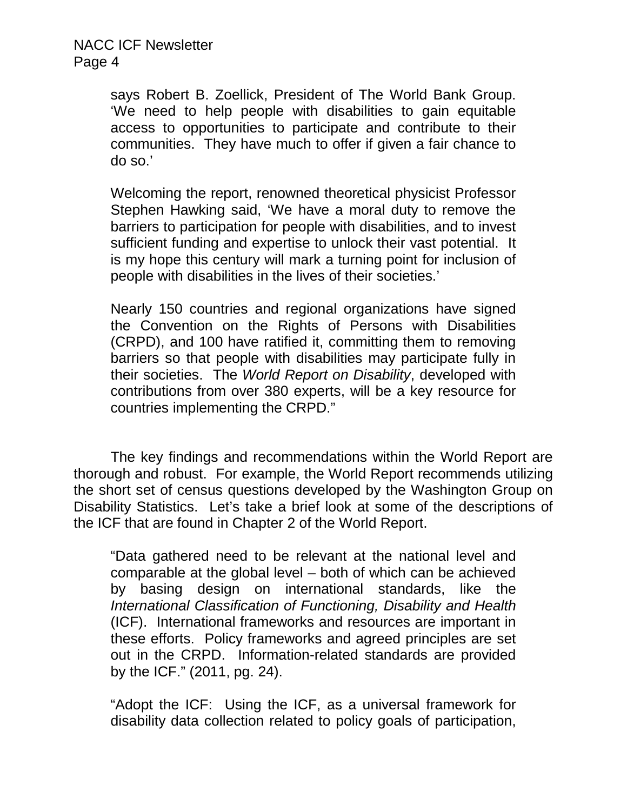> says Robert B. Zoellick, President of The World Bank Group. 'We need to help people with disabilities to gain equitable access to opportunities to participate and contribute to their communities. They have much to offer if given a fair chance to do so.'

> Welcoming the report, renowned theoretical physicist Professor Stephen Hawking said, 'We have a moral duty to remove the barriers to participation for people with disabilities, and to invest sufficient funding and expertise to unlock their vast potential. It is my hope this century will mark a turning point for inclusion of people with disabilities in the lives of their societies.'

> Nearly 150 countries and regional organizations have signed the Convention on the Rights of Persons with Disabilities (CRPD), and 100 have ratified it, committing them to removing barriers so that people with disabilities may participate fully in their societies. The *World Report on Disability*, developed with contributions from over 380 experts, will be a key resource for countries implementing the CRPD."

The key findings and recommendations within the World Report are thorough and robust. For example, the World Report recommends utilizing the short set of census questions developed by the Washington Group on Disability Statistics. Let's take a brief look at some of the descriptions of the ICF that are found in Chapter 2 of the World Report.

"Data gathered need to be relevant at the national level and comparable at the global level – both of which can be achieved by basing design on international standards, like the *International Classification of Functioning, Disability and Health*  (ICF). International frameworks and resources are important in these efforts. Policy frameworks and agreed principles are set out in the CRPD. Information-related standards are provided by the ICF." (2011, pg. 24).

"Adopt the ICF: Using the ICF, as a universal framework for disability data collection related to policy goals of participation,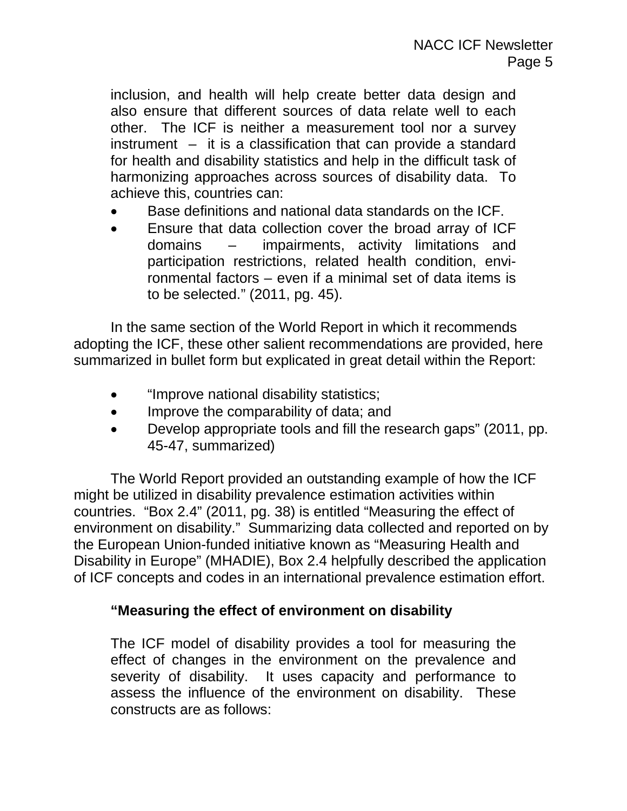inclusion, and health will help create better data design and also ensure that different sources of data relate well to each other. The ICF is neither a measurement tool nor a survey instrument – it is a classification that can provide a standard for health and disability statistics and help in the difficult task of harmonizing approaches across sources of disability data. To achieve this, countries can:

- Base definitions and national data standards on the ICF.
- Ensure that data collection cover the broad array of ICF domains – impairments, activity limitations and participation restrictions, related health condition, environmental factors – even if a minimal set of data items is to be selected." (2011, pg. 45).

In the same section of the World Report in which it recommends adopting the ICF, these other salient recommendations are provided, here summarized in bullet form but explicated in great detail within the Report:

- "Improve national disability statistics;
- Improve the comparability of data; and
- Develop appropriate tools and fill the research gaps" (2011, pp. 45-47, summarized)

The World Report provided an outstanding example of how the ICF might be utilized in disability prevalence estimation activities within countries. "Box 2.4" (2011, pg. 38) is entitled "Measuring the effect of environment on disability." Summarizing data collected and reported on by the European Union-funded initiative known as "Measuring Health and Disability in Europe" (MHADIE), Box 2.4 helpfully described the application of ICF concepts and codes in an international prevalence estimation effort.

# **"Measuring the effect of environment on disability**

The ICF model of disability provides a tool for measuring the effect of changes in the environment on the prevalence and severity of disability. It uses capacity and performance to assess the influence of the environment on disability. These constructs are as follows: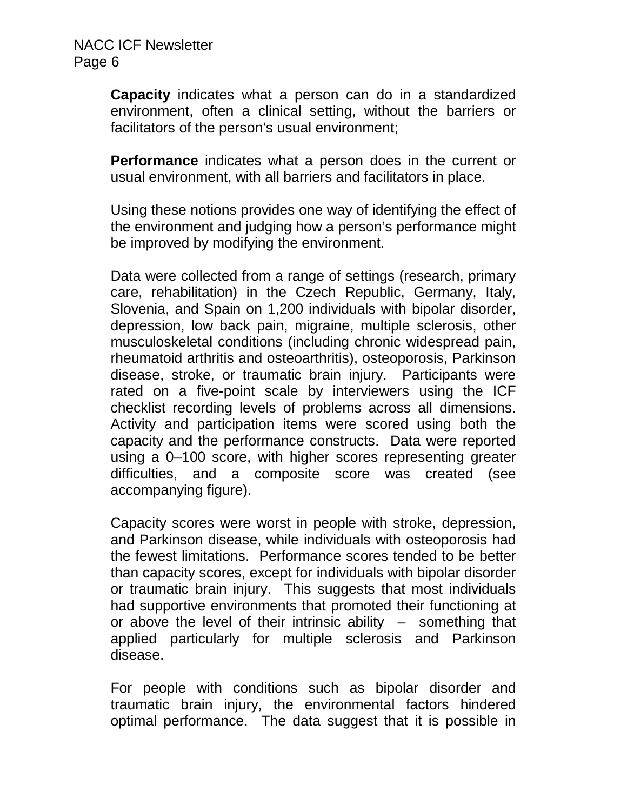**Capacity** indicates what a person can do in a standardized environment, often a clinical setting, without the barriers or facilitators of the person's usual environment;

**Performance** indicates what a person does in the current or usual environment, with all barriers and facilitators in place.

Using these notions provides one way of identifying the effect of the environment and judging how a person's performance might be improved by modifying the environment.

Data were collected from a range of settings (research, primary care, rehabilitation) in the Czech Republic, Germany, Italy, Slovenia, and Spain on 1,200 individuals with bipolar disorder, depression, low back pain, migraine, multiple sclerosis, other musculoskeletal conditions (including chronic widespread pain, rheumatoid arthritis and osteoarthritis), osteoporosis, Parkinson disease, stroke, or traumatic brain injury. Participants were rated on a five-point scale by interviewers using the ICF checklist recording levels of problems across all dimensions. Activity and participation items were scored using both the capacity and the performance constructs. Data were reported using a 0–100 score, with higher scores representing greater difficulties, and a composite score was created (see accompanying figure).

Capacity scores were worst in people with stroke, depression, and Parkinson disease, while individuals with osteoporosis had the fewest limitations. Performance scores tended to be better than capacity scores, except for individuals with bipolar disorder or traumatic brain injury. This suggests that most individuals had supportive environments that promoted their functioning at or above the level of their intrinsic ability  $-$  something that applied particularly for multiple sclerosis and Parkinson disease.

For people with conditions such as bipolar disorder and traumatic brain injury, the environmental factors hindered optimal performance. The data suggest that it is possible in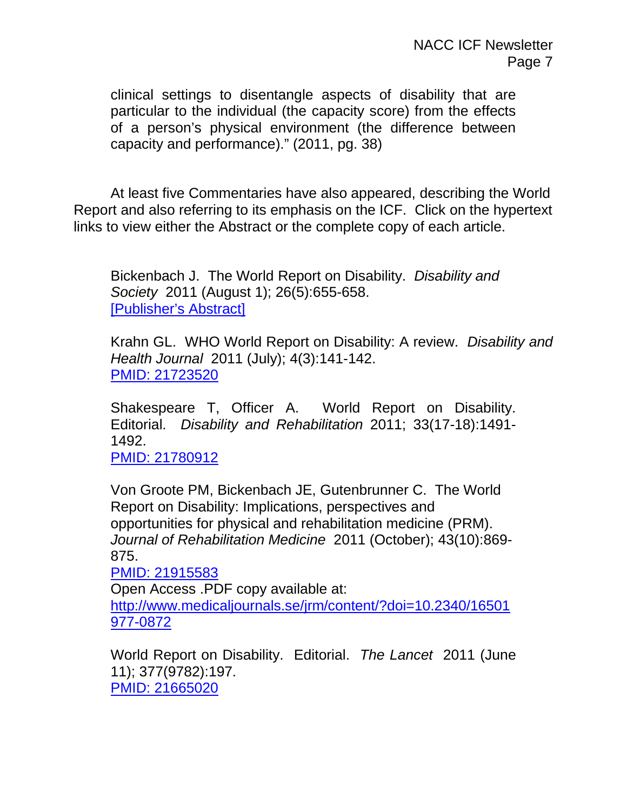clinical settings to disentangle aspects of disability that are particular to the individual (the capacity score) from the effects of a person's physical environment (the difference between capacity and performance)." (2011, pg. 38)

At least five Commentaries have also appeared, describing the World Report and also referring to its emphasis on the ICF. Click on the hypertext links to view either the Abstract or the complete copy of each article.

Bickenbach J. The World Report on Disability. *Disability and Society* 2011 (August 1); 26(5):655-658. [\[Publisher's Abstract\]](http://www.ingentaconnect.com/content/routledg/cdso/2011/00000026/00000005/art00011)

Krahn GL. WHO World Report on Disability: A review. *Disability and Health Journal* 2011 (July); 4(3):141-142. [PMID: 21723520](http://www.ncbi.nlm.nih.gov/pubmed/21723520)

Shakespeare T, Officer A. World Report on Disability. Editorial. *Disability and Rehabilitation* 2011; 33(17-18):1491- 1492.

[PMID: 21780912](http://www.ncbi.nlm.nih.gov/pubmed/21780912)

Von Groote PM, Bickenbach JE, Gutenbrunner C. The World Report on Disability: Implications, perspectives and opportunities for physical and rehabilitation medicine (PRM). *Journal of Rehabilitation Medicine* 2011 (October); 43(10):869- 875.

[PMID: 21915583](http://www.ncbi.nlm.nih.gov/pubmed/21915583) 

Open Access .PDF copy available at: [http://www.medicaljournals.se/jrm/content/?doi=10.2340/16501](http://www.medicaljournals.se/jrm/content/?doi=10.2340/16501977-0872) [977-0872](http://www.medicaljournals.se/jrm/content/?doi=10.2340/16501977-0872)

World Report on Disability. Editorial. *The Lancet* 2011 (June 11); 377(9782):197. PMID: 21665020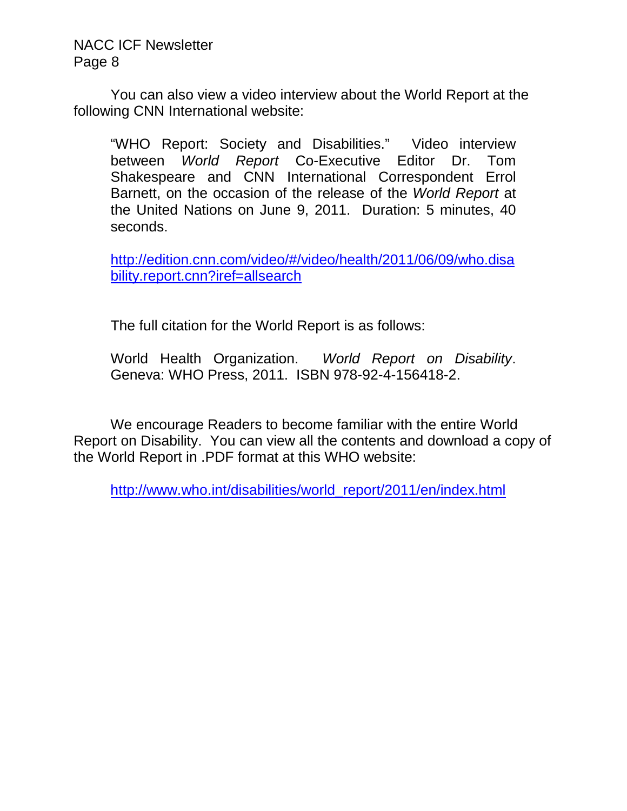You can also view a video interview about the World Report at the following CNN International website:

"WHO Report: Society and Disabilities." Video interview between *World Report* Co-Executive Editor Dr. Tom Shakespeare and CNN International Correspondent Errol Barnett, on the occasion of the release of the *World Report* at the United Nations on June 9, 2011. Duration: 5 minutes, 40 seconds.

[http://edition.cnn.com/video/#/video/health/2011/06/09/who.disa](http://edition.cnn.com/video/#/video/health/2011/06/09/who.disability.report.cnn?iref=allsearch) [bility.report.cnn?iref=allsearch](http://edition.cnn.com/video/#/video/health/2011/06/09/who.disability.report.cnn?iref=allsearch)

The full citation for the World Report is as follows:

World Health Organization. *World Report on Disability*. Geneva: WHO Press, 2011. ISBN 978-92-4-156418-2.

We encourage Readers to become familiar with the entire World Report on Disability. You can view all the contents and download a copy of the World Report in .PDF format at this WHO website:

[http://www.who.int/disabilities/world\\_report/2011/en/index.html](http://www.who.int/disabilities/world_report/2011/en/index.html)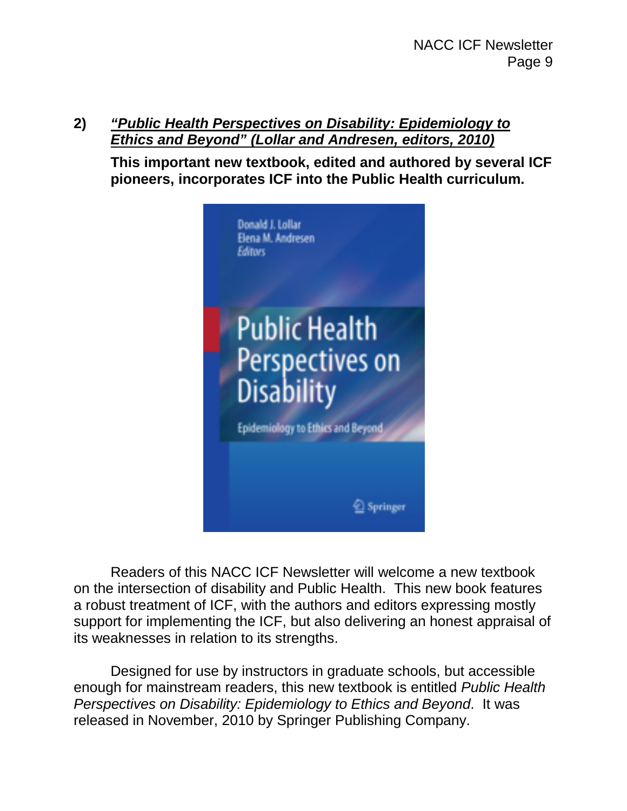# <span id="page-8-0"></span>**2)** *"Public Health Perspectives on Disability: Epidemiology to Ethics and Beyond" (Lollar and Andresen, editors, 2010)*

**This important new textbook, edited and authored by several ICF pioneers, incorporates ICF into the Public Health curriculum.**



Readers of this NACC ICF Newsletter will welcome a new textbook on the intersection of disability and Public Health. This new book features a robust treatment of ICF, with the authors and editors expressing mostly support for implementing the ICF, but also delivering an honest appraisal of its weaknesses in relation to its strengths.

Designed for use by instructors in graduate schools, but accessible enough for mainstream readers, this new textbook is entitled *Public Health Perspectives on Disability: Epidemiology to Ethics and Beyond*. It was released in November, 2010 by Springer Publishing Company.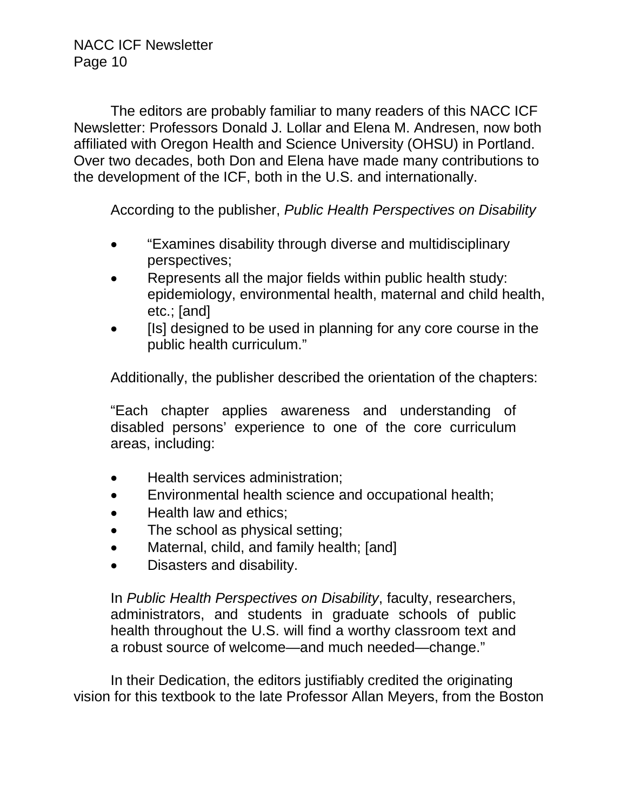The editors are probably familiar to many readers of this NACC ICF Newsletter: Professors Donald J. Lollar and Elena M. Andresen, now both affiliated with Oregon Health and Science University (OHSU) in Portland. Over two decades, both Don and Elena have made many contributions to the development of the ICF, both in the U.S. and internationally.

According to the publisher, *Public Health Perspectives on Disability*

- "Examines disability through diverse and multidisciplinary perspectives;
- Represents all the major fields within public health study: epidemiology, environmental health, maternal and child health, etc.; [and]
- **Is is also learntle** to be used in planning for any core course in the public health curriculum."

Additionally, the publisher described the orientation of the chapters:

"Each chapter applies awareness and understanding of disabled persons' experience to one of the core curriculum areas, including:

- Health services administration;
- Environmental health science and occupational health;
- Health law and ethics:
- The school as physical setting;
- Maternal, child, and family health; [and]
- Disasters and disability.

In *Public Health Perspectives on Disability*, faculty, researchers, administrators, and students in graduate schools of public health throughout the U.S. will find a worthy classroom text and a robust source of welcome—and much needed—change."

In their Dedication, the editors justifiably credited the originating vision for this textbook to the late Professor Allan Meyers, from the Boston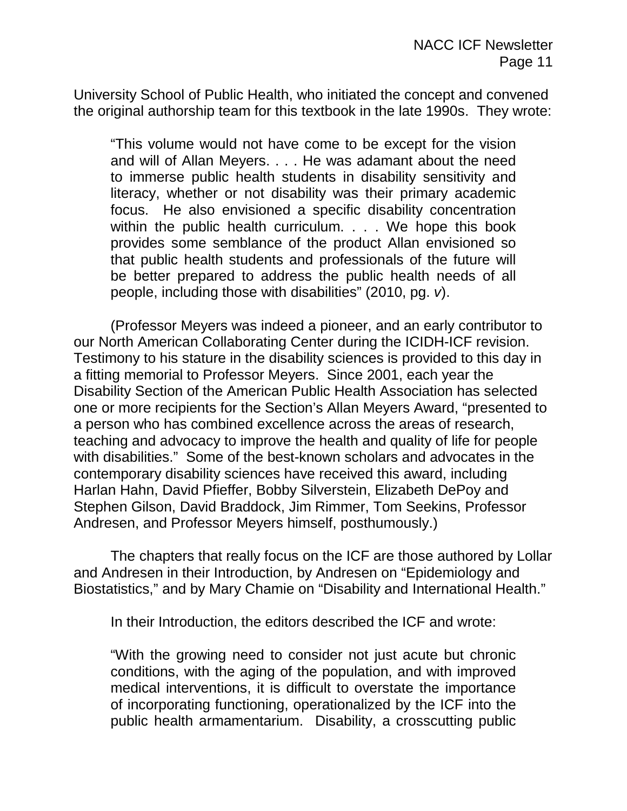University School of Public Health, who initiated the concept and convened the original authorship team for this textbook in the late 1990s. They wrote:

"This volume would not have come to be except for the vision and will of Allan Meyers. . . . He was adamant about the need to immerse public health students in disability sensitivity and literacy, whether or not disability was their primary academic focus. He also envisioned a specific disability concentration within the public health curriculum. . . . We hope this book provides some semblance of the product Allan envisioned so that public health students and professionals of the future will be better prepared to address the public health needs of all people, including those with disabilities" (2010, pg. *v*).

(Professor Meyers was indeed a pioneer, and an early contributor to our North American Collaborating Center during the ICIDH-ICF revision. Testimony to his stature in the disability sciences is provided to this day in a fitting memorial to Professor Meyers. Since 2001, each year the Disability Section of the American Public Health Association has selected one or more recipients for the Section's Allan Meyers Award, "presented to a person who has combined excellence across the areas of research, teaching and advocacy to improve the health and quality of life for people with disabilities." Some of the best-known scholars and advocates in the contemporary disability sciences have received this award, including Harlan Hahn, David Pfieffer, Bobby Silverstein, Elizabeth DePoy and Stephen Gilson, David Braddock, Jim Rimmer, Tom Seekins, Professor Andresen, and Professor Meyers himself, posthumously.)

The chapters that really focus on the ICF are those authored by Lollar and Andresen in their Introduction, by Andresen on "Epidemiology and Biostatistics," and by Mary Chamie on "Disability and International Health."

In their Introduction, the editors described the ICF and wrote:

"With the growing need to consider not just acute but chronic conditions, with the aging of the population, and with improved medical interventions, it is difficult to overstate the importance of incorporating functioning, operationalized by the ICF into the public health armamentarium. Disability, a crosscutting public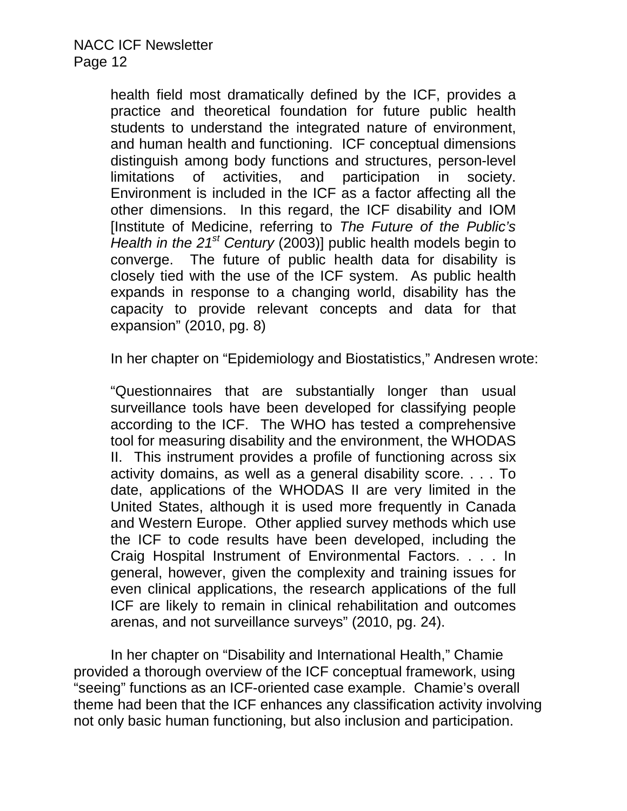health field most dramatically defined by the ICF, provides a practice and theoretical foundation for future public health students to understand the integrated nature of environment, and human health and functioning. ICF conceptual dimensions distinguish among body functions and structures, person-level limitations of activities, and participation in society. Environment is included in the ICF as a factor affecting all the other dimensions. In this regard, the ICF disability and IOM [Institute of Medicine, referring to *The Future of the Public's Health in the 21<sup>st</sup> Century* (2003)] public health models begin to converge. The future of public health data for disability is closely tied with the use of the ICF system. As public health expands in response to a changing world, disability has the capacity to provide relevant concepts and data for that expansion" (2010, pg. 8)

In her chapter on "Epidemiology and Biostatistics," Andresen wrote:

"Questionnaires that are substantially longer than usual surveillance tools have been developed for classifying people according to the ICF. The WHO has tested a comprehensive tool for measuring disability and the environment, the WHODAS II. This instrument provides a profile of functioning across six activity domains, as well as a general disability score. . . . To date, applications of the WHODAS II are very limited in the United States, although it is used more frequently in Canada and Western Europe. Other applied survey methods which use the ICF to code results have been developed, including the Craig Hospital Instrument of Environmental Factors. . . . In general, however, given the complexity and training issues for even clinical applications, the research applications of the full ICF are likely to remain in clinical rehabilitation and outcomes arenas, and not surveillance surveys" (2010, pg. 24).

In her chapter on "Disability and International Health," Chamie provided a thorough overview of the ICF conceptual framework, using "seeing" functions as an ICF-oriented case example. Chamie's overall theme had been that the ICF enhances any classification activity involving not only basic human functioning, but also inclusion and participation.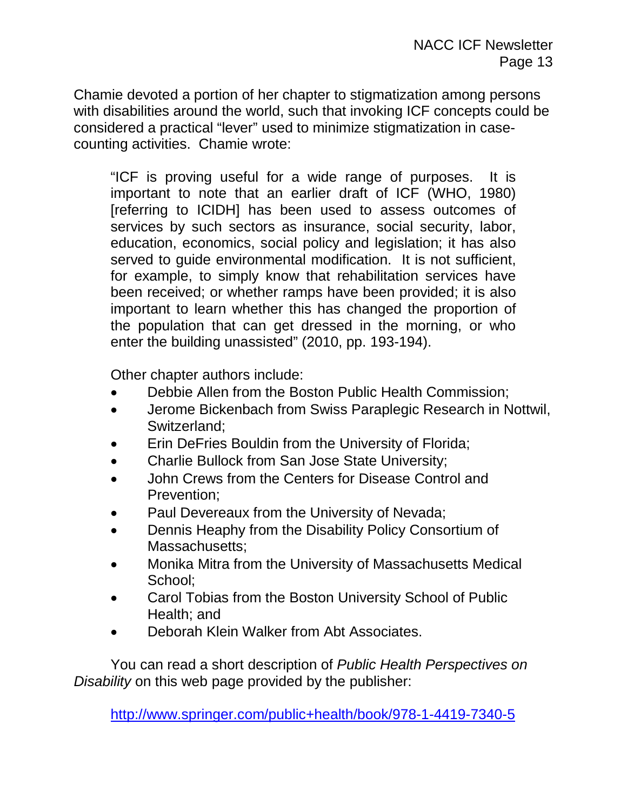Chamie devoted a portion of her chapter to stigmatization among persons with disabilities around the world, such that invoking ICF concepts could be considered a practical "lever" used to minimize stigmatization in casecounting activities. Chamie wrote:

"ICF is proving useful for a wide range of purposes. It is important to note that an earlier draft of ICF (WHO, 1980) [referring to ICIDH] has been used to assess outcomes of services by such sectors as insurance, social security, labor, education, economics, social policy and legislation; it has also served to guide environmental modification. It is not sufficient, for example, to simply know that rehabilitation services have been received; or whether ramps have been provided; it is also important to learn whether this has changed the proportion of the population that can get dressed in the morning, or who enter the building unassisted" (2010, pp. 193-194).

Other chapter authors include:

- Debbie Allen from the Boston Public Health Commission;
- Jerome Bickenbach from Swiss Paraplegic Research in Nottwil, Switzerland;
- Erin DeFries Bouldin from the University of Florida;
- Charlie Bullock from San Jose State University;
- John Crews from the Centers for Disease Control and Prevention;
- Paul Devereaux from the University of Nevada;
- Dennis Heaphy from the Disability Policy Consortium of Massachusetts;
- Monika Mitra from the University of Massachusetts Medical School;
- Carol Tobias from the Boston University School of Public Health; and
- Deborah Klein Walker from Abt Associates.

You can read a short description of *Public Health Perspectives on Disability* on this web page provided by the publisher:

<http://www.springer.com/public+health/book/978-1-4419-7340-5>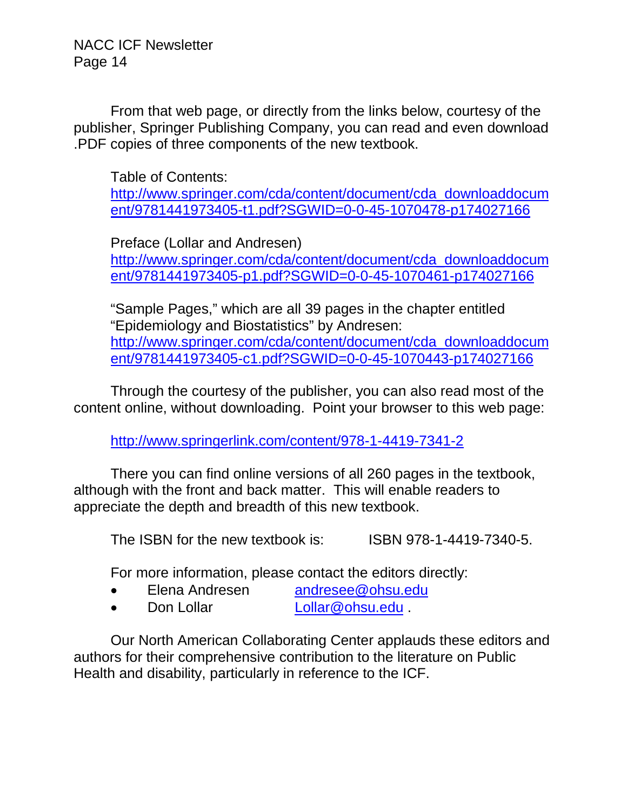From that web page, or directly from the links below, courtesy of the publisher, Springer Publishing Company, you can read and even download .PDF copies of three components of the new textbook.

Table of Contents:

[http://www.springer.com/cda/content/document/cda\\_downloaddocum](http://www.springer.com/cda/content/document/cda_downloaddocument/9781441973405-t1.pdf?SGWID=0-0-45-1070478-p174027166) [ent/9781441973405-t1.pdf?SGWID=0-0-45-1070478-p174027166](http://www.springer.com/cda/content/document/cda_downloaddocument/9781441973405-t1.pdf?SGWID=0-0-45-1070478-p174027166)

Preface (Lollar and Andresen)

[http://www.springer.com/cda/content/document/cda\\_downloaddocum](http://www.springer.com/cda/content/document/cda_downloaddocument/9781441973405-p1.pdf?SGWID=0-0-45-1070461-p174027166) [ent/9781441973405-p1.pdf?SGWID=0-0-45-1070461-p174027166](http://www.springer.com/cda/content/document/cda_downloaddocument/9781441973405-p1.pdf?SGWID=0-0-45-1070461-p174027166)

"Sample Pages," which are all 39 pages in the chapter entitled "Epidemiology and Biostatistics" by Andresen: [http://www.springer.com/cda/content/document/cda\\_downloaddocum](http://www.springer.com/cda/content/document/cda_downloaddocument/9781441973405-c1.pdf?SGWID=0-0-45-1070443-p174027166) [ent/9781441973405-c1.pdf?SGWID=0-0-45-1070443-p174027166](http://www.springer.com/cda/content/document/cda_downloaddocument/9781441973405-c1.pdf?SGWID=0-0-45-1070443-p174027166)

Through the courtesy of the publisher, you can also read most of the content online, without downloading. Point your browser to this web page:

<http://www.springerlink.com/content/978-1-4419-7341-2>

There you can find online versions of all 260 pages in the textbook, although with the front and back matter. This will enable readers to appreciate the depth and breadth of this new textbook.

The ISBN for the new textbook is: ISBN 978-1-4419-7340-5.

For more information, please contact the editors directly:

- Elena Andresen [andresee@ohsu.edu](mailto:andresee@ohsu.edu)
- Don Lollar **[Lollar@ohsu.edu](mailto:Lollar@ohsu.edu)** .

Our North American Collaborating Center applauds these editors and authors for their comprehensive contribution to the literature on Public Health and disability, particularly in reference to the ICF.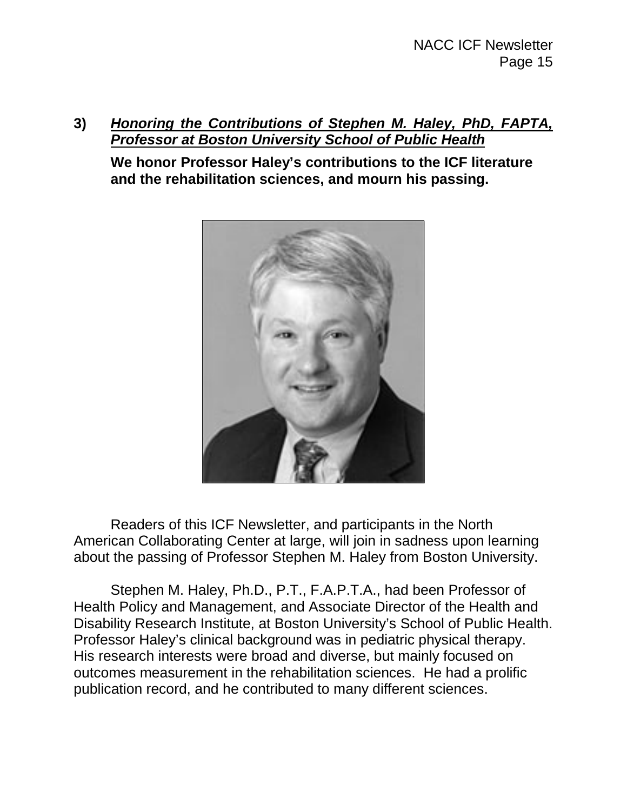# <span id="page-14-0"></span>**3)** *Honoring the Contributions of Stephen M. Haley, PhD, FAPTA, Professor at Boston University School of Public Health*

**We honor Professor Haley's contributions to the ICF literature and the rehabilitation sciences, and mourn his passing.**



Readers of this ICF Newsletter, and participants in the North American Collaborating Center at large, will join in sadness upon learning about the passing of Professor Stephen M. Haley from Boston University.

Stephen M. Haley, Ph.D., P.T., F.A.P.T.A., had been Professor of Health Policy and Management, and Associate Director of the Health and Disability Research Institute, at Boston University's School of Public Health. Professor Haley's clinical background was in pediatric physical therapy. His research interests were broad and diverse, but mainly focused on outcomes measurement in the rehabilitation sciences. He had a prolific publication record, and he contributed to many different sciences.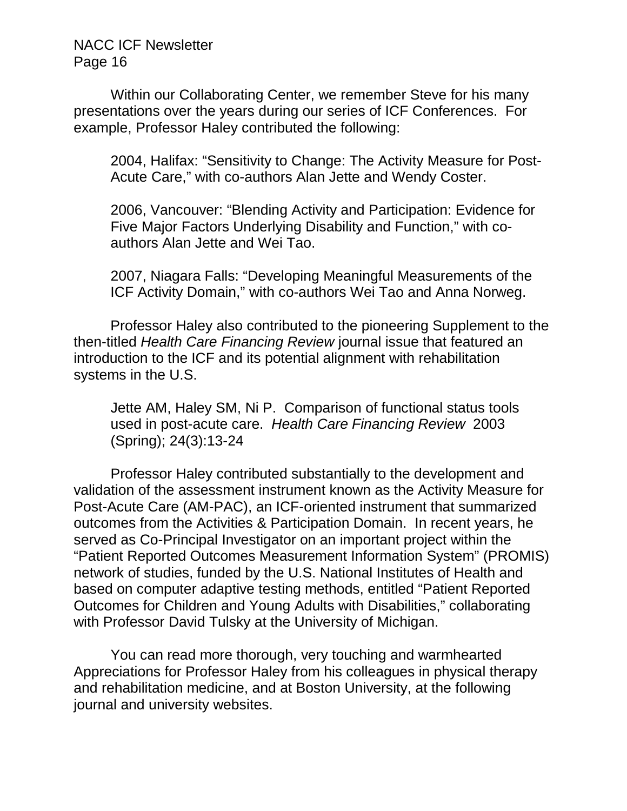Within our Collaborating Center, we remember Steve for his many presentations over the years during our series of ICF Conferences. For example, Professor Haley contributed the following:

2004, Halifax: "Sensitivity to Change: The Activity Measure for Post-Acute Care," with co-authors Alan Jette and Wendy Coster.

2006, Vancouver: "Blending Activity and Participation: Evidence for Five Major Factors Underlying Disability and Function," with coauthors Alan Jette and Wei Tao.

2007, Niagara Falls: "Developing Meaningful Measurements of the ICF Activity Domain," with co-authors Wei Tao and Anna Norweg.

Professor Haley also contributed to the pioneering Supplement to the then-titled *Health Care Financing Review* journal issue that featured an introduction to the ICF and its potential alignment with rehabilitation systems in the U.S.

Jette AM, Haley SM, Ni P. Comparison of functional status tools used in post-acute care. *Health Care Financing Review* 2003 (Spring); 24(3):13-24

Professor Haley contributed substantially to the development and validation of the assessment instrument known as the Activity Measure for Post-Acute Care (AM-PAC), an ICF-oriented instrument that summarized outcomes from the Activities & Participation Domain. In recent years, he served as Co-Principal Investigator on an important project within the "Patient Reported Outcomes Measurement Information System" (PROMIS) network of studies, funded by the U.S. National Institutes of Health and based on computer adaptive testing methods, entitled "Patient Reported Outcomes for Children and Young Adults with Disabilities," collaborating with Professor David Tulsky at the University of Michigan.

You can read more thorough, very touching and warmhearted Appreciations for Professor Haley from his colleagues in physical therapy and rehabilitation medicine, and at Boston University, at the following journal and university websites.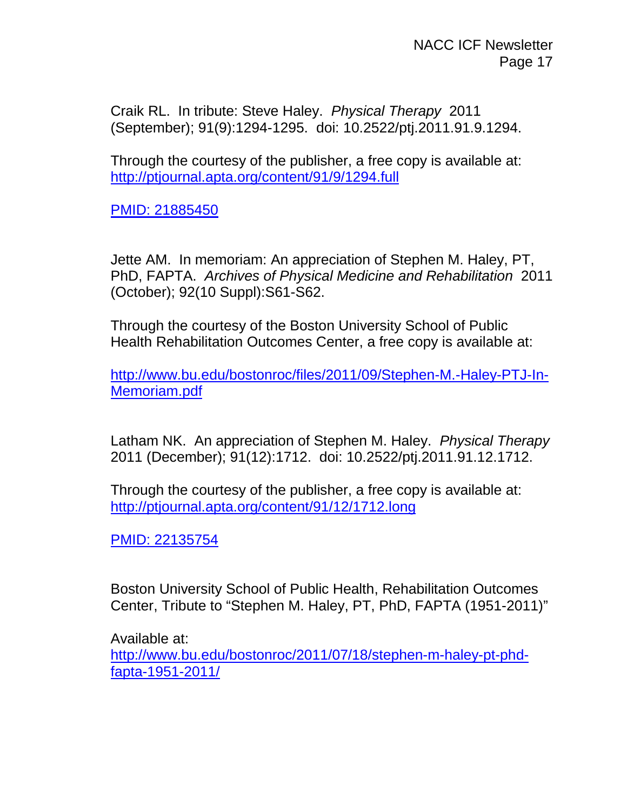Craik RL. In tribute: Steve Haley. *Physical Therapy* 2011 (September); 91(9):1294-1295. doi: 10.2522/ptj.2011.91.9.1294.

Through the courtesy of the publisher, a free copy is available at: <http://ptjournal.apta.org/content/91/9/1294.full>

[PMID: 21885450](http://www.ncbi.nlm.nih.gov/pubmed/21885450)

Jette AM. In memoriam: An appreciation of Stephen M. Haley, PT, PhD, FAPTA. *Archives of Physical Medicine and Rehabilitation* 2011 (October); 92(10 Suppl):S61-S62.

Through the courtesy of the Boston University School of Public Health Rehabilitation Outcomes Center, a free copy is available at:

[http://www.bu.edu/bostonroc/files/2011/09/Stephen-M.-Haley-PTJ-In-](http://www.bu.edu/bostonroc/files/2011/09/Stephen-M.-Haley-PTJ-In-Memoriam.pdf)[Memoriam.pdf](http://www.bu.edu/bostonroc/files/2011/09/Stephen-M.-Haley-PTJ-In-Memoriam.pdf)

Latham NK. An appreciation of Stephen M. Haley. *Physical Therapy* 2011 (December); 91(12):1712. doi: 10.2522/ptj.2011.91.12.1712.

Through the courtesy of the publisher, a free copy is available at: <http://ptjournal.apta.org/content/91/12/1712.long>

[PMID: 22135754](http://www.ncbi.nlm.nih.gov/pubmed/22135754)

Boston University School of Public Health, Rehabilitation Outcomes Center, Tribute to "Stephen M. Haley, PT, PhD, FAPTA (1951-2011)"

Available at: [http://www.bu.edu/bostonroc/2011/07/18/stephen-m-haley-pt-phd](http://www.bu.edu/bostonroc/2011/07/18/stephen-m-haley-pt-phd-fapta-1951-2011/)[fapta-1951-2011/](http://www.bu.edu/bostonroc/2011/07/18/stephen-m-haley-pt-phd-fapta-1951-2011/)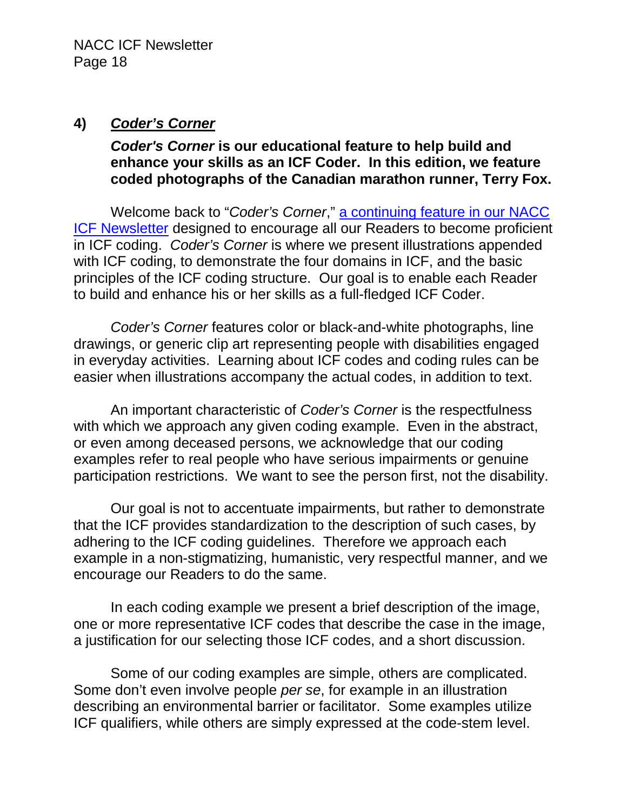### <span id="page-17-0"></span>**4)** *Coder's Corner*

*Coder's Corner* **is our educational feature to help build and enhance your skills as an ICF Coder. In this edition, we feature coded photographs of the Canadian marathon runner, Terry Fox.**

Welcome back to "*Coder's Corner*," [a continuing feature in our NACC](http://www.cdc.gov/nchs/data/icd9/june2009naccicfnewsletter.pdf)  [ICF Newsletter](http://www.cdc.gov/nchs/data/icd9/june2009naccicfnewsletter.pdf) designed to encourage all our Readers to become proficient in ICF coding. *Coder's Corner* is where we present illustrations appended with ICF coding, to demonstrate the four domains in ICF, and the basic principles of the ICF coding structure. Our goal is to enable each Reader to build and enhance his or her skills as a full-fledged ICF Coder.

*Coder's Corner* features color or black-and-white photographs, line drawings, or generic clip art representing people with disabilities engaged in everyday activities. Learning about ICF codes and coding rules can be easier when illustrations accompany the actual codes, in addition to text.

An important characteristic of *Coder's Corner* is the respectfulness with which we approach any given coding example. Even in the abstract, or even among deceased persons, we acknowledge that our coding examples refer to real people who have serious impairments or genuine participation restrictions. We want to see the person first, not the disability.

Our goal is not to accentuate impairments, but rather to demonstrate that the ICF provides standardization to the description of such cases, by adhering to the ICF coding guidelines. Therefore we approach each example in a non-stigmatizing, humanistic, very respectful manner, and we encourage our Readers to do the same.

In each coding example we present a brief description of the image, one or more representative ICF codes that describe the case in the image, a justification for our selecting those ICF codes, and a short discussion.

Some of our coding examples are simple, others are complicated. Some don't even involve people *per se*, for example in an illustration describing an environmental barrier or facilitator. Some examples utilize ICF qualifiers, while others are simply expressed at the code-stem level.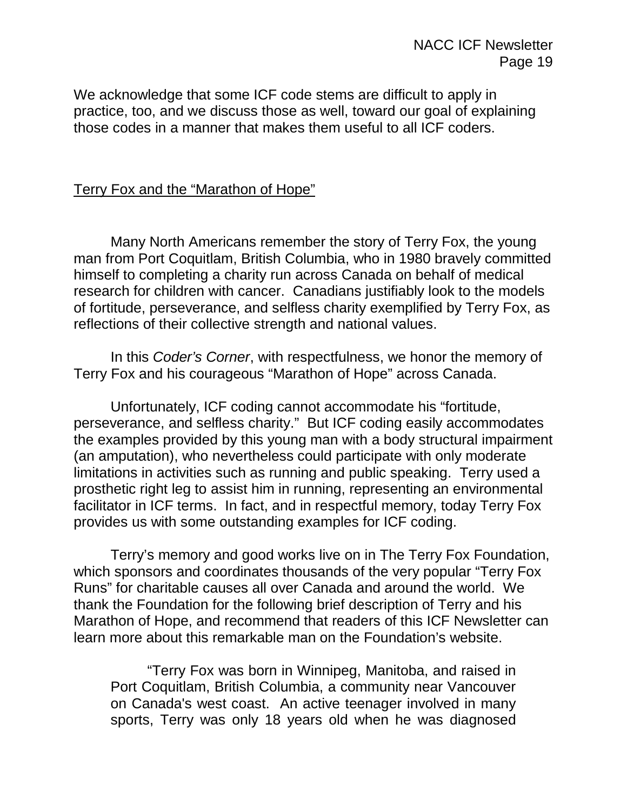We acknowledge that some ICF code stems are difficult to apply in practice, too, and we discuss those as well, toward our goal of explaining those codes in a manner that makes them useful to all ICF coders.

### Terry Fox and the "Marathon of Hope"

Many North Americans remember the story of Terry Fox, the young man from Port Coquitlam, British Columbia, who in 1980 bravely committed himself to completing a charity run across Canada on behalf of medical research for children with cancer. Canadians justifiably look to the models of fortitude, perseverance, and selfless charity exemplified by Terry Fox, as reflections of their collective strength and national values.

In this *Coder's Corner*, with respectfulness, we honor the memory of Terry Fox and his courageous "Marathon of Hope" across Canada.

Unfortunately, ICF coding cannot accommodate his "fortitude, perseverance, and selfless charity." But ICF coding easily accommodates the examples provided by this young man with a body structural impairment (an amputation), who nevertheless could participate with only moderate limitations in activities such as running and public speaking. Terry used a prosthetic right leg to assist him in running, representing an environmental facilitator in ICF terms. In fact, and in respectful memory, today Terry Fox provides us with some outstanding examples for ICF coding.

Terry's memory and good works live on in The Terry Fox Foundation, which sponsors and coordinates thousands of the very popular "Terry Fox Runs" for charitable causes all over Canada and around the world. We thank the Foundation for the following brief description of Terry and his Marathon of Hope, and recommend that readers of this ICF Newsletter can learn more about this remarkable man on the Foundation's website.

"Terry Fox was born in Winnipeg, Manitoba, and raised in Port Coquitlam, British Columbia, a community near Vancouver on Canada's west coast. An active teenager involved in many sports, Terry was only 18 years old when he was diagnosed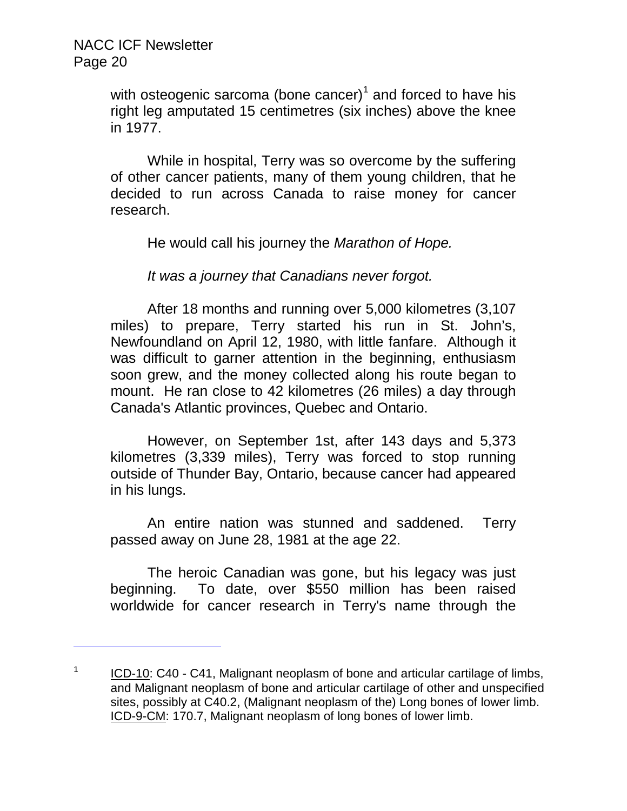j

with osteogenic sarcoma (bone cancer)<sup>[1](#page-19-0)</sup> and forced to have his right leg amputated 15 centimetres (six inches) above the knee in 1977.

While in hospital, Terry was so overcome by the suffering of other cancer patients, many of them young children, that he decided to run across Canada to raise money for cancer research.

He would call his journey the *Marathon of Hope.*

*It was a journey that Canadians never forgot.*

After 18 months and running over 5,000 kilometres (3,107 miles) to prepare, Terry started his run in St. John's, Newfoundland on April 12, 1980, with little fanfare. Although it was difficult to garner attention in the beginning, enthusiasm soon grew, and the money collected along his route began to mount. He ran close to 42 kilometres (26 miles) a day through Canada's Atlantic provinces, Quebec and Ontario.

However, on September 1st, after 143 days and 5,373 kilometres (3,339 miles), Terry was forced to stop running outside of Thunder Bay, Ontario, because cancer had appeared in his lungs.

An entire nation was stunned and saddened. Terry passed away on June 28, 1981 at the age 22.

The heroic Canadian was gone, but his legacy was just beginning. To date, over \$550 million has been raised worldwide for cancer research in Terry's name through the

<span id="page-19-0"></span><sup>&</sup>lt;sup>1</sup> ICD-10: C40 - C41, Malignant neoplasm of bone and articular cartilage of limbs, and Malignant neoplasm of bone and articular cartilage of other and unspecified sites, possibly at C40.2, (Malignant neoplasm of the) Long bones of lower limb. ICD-9-CM: 170.7, Malignant neoplasm of long bones of lower limb.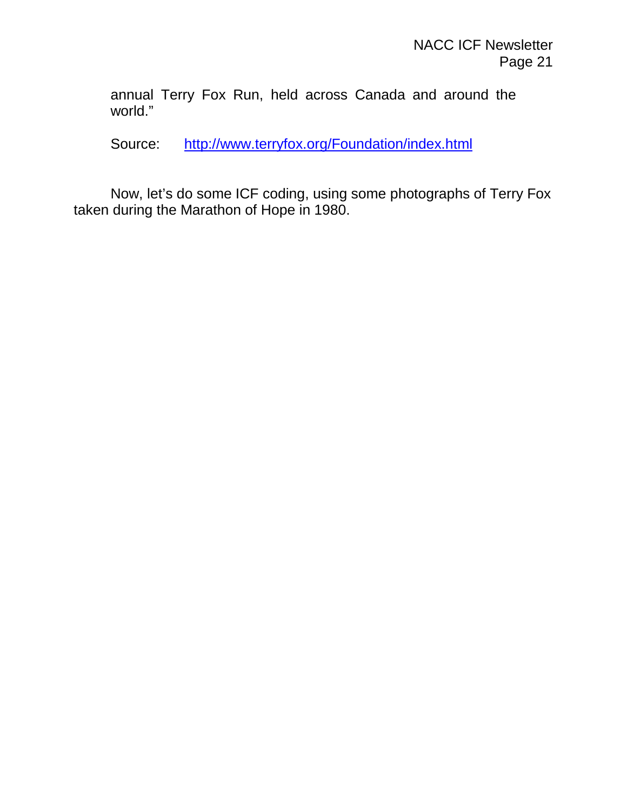annual Terry Fox Run, held across Canada and around the world."

Source: <http://www.terryfox.org/Foundation/index.html>

Now, let's do some ICF coding, using some photographs of Terry Fox taken during the Marathon of Hope in 1980.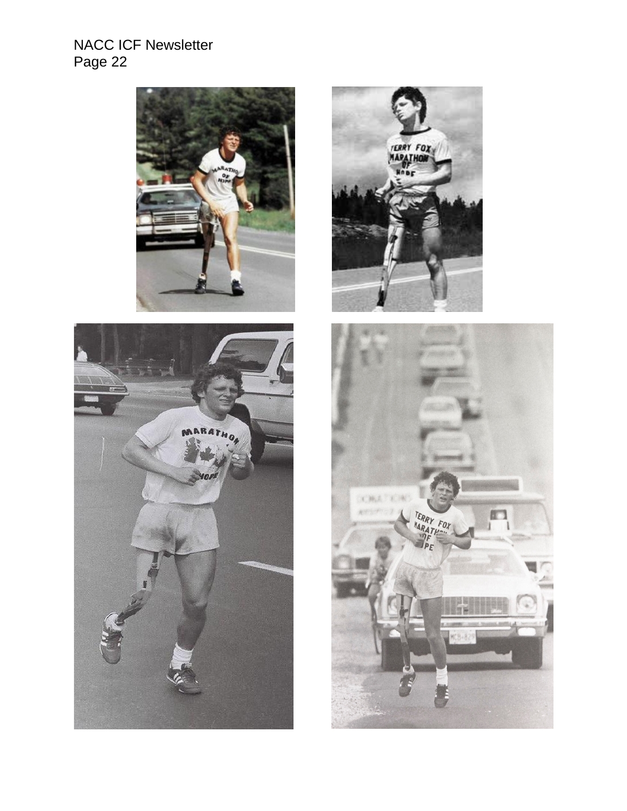





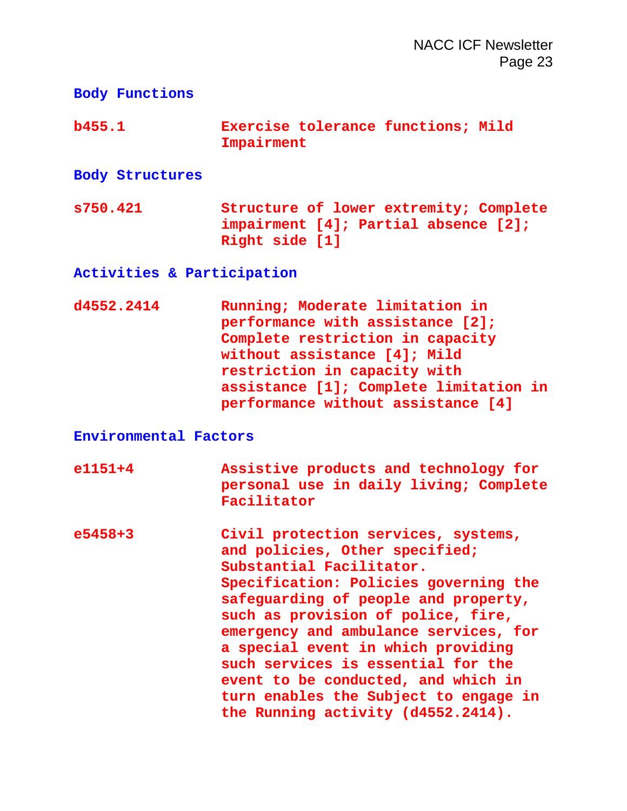**Body Functions**

- **b455.1 Exercise tolerance functions; Mild Impairment**
- **Body Structures**
- **s750.421 Structure of lower extremity; Complete impairment [4]; Partial absence [2]; Right side [1]**

**Activities & Participation**

**d4552.2414 Running; Moderate limitation in performance with assistance [2]; Complete restriction in capacity without assistance [4]; Mild restriction in capacity with assistance [1]; Complete limitation in performance without assistance [4]**

**Environmental Factors**

- **e1151+4 Assistive products and technology for personal use in daily living; Complete Facilitator**
- **e5458+3 Civil protection services, systems, and policies, Other specified; Substantial Facilitator. Specification: Policies governing the safeguarding of people and property, such as provision of police, fire, emergency and ambulance services, for a special event in which providing such services is essential for the event to be conducted, and which in turn enables the Subject to engage in the Running activity (d4552.2414).**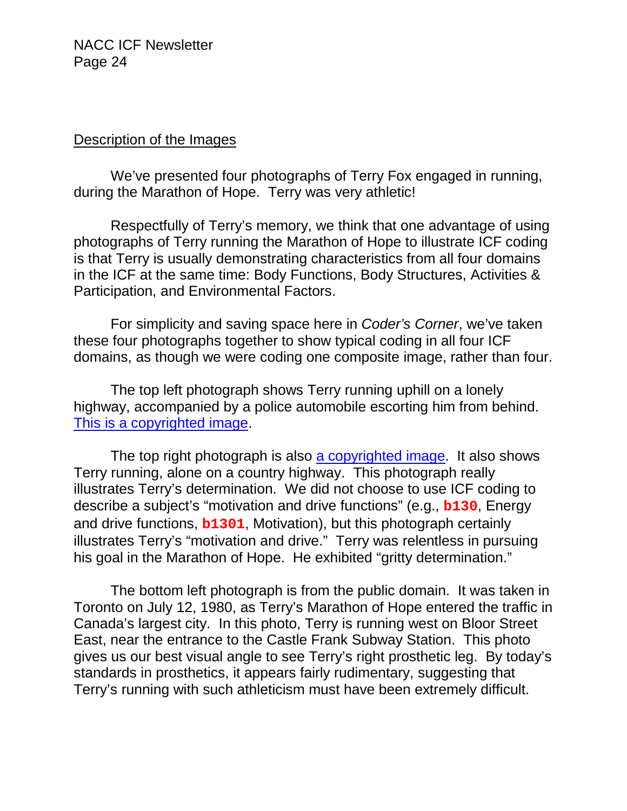#### Description of the Images

We've presented four photographs of Terry Fox engaged in running, during the Marathon of Hope. Terry was very athletic!

Respectfully of Terry's memory, we think that one advantage of using photographs of Terry running the Marathon of Hope to illustrate ICF coding is that Terry is usually demonstrating characteristics from all four domains in the ICF at the same time: Body Functions, Body Structures, Activities & Participation, and Environmental Factors.

For simplicity and saving space here in *Coder's Corner*, we've taken these four photographs together to show typical coding in all four ICF domains, as though we were coding one composite image, rather than four.

The top left photograph shows Terry running uphill on a lonely highway, accompanied by a police automobile escorting him from behind. [This is a copyrighted image.](http://www.cancerawakens.com/blog/2011/07/the-terry-fox-story/)

The top right photograph is also [a copyrighted image.](http://sports.espn.go.com/espn/thelife/news/story?id=5608365) It also shows Terry running, alone on a country highway. This photograph really illustrates Terry's determination. We did not choose to use ICF coding to describe a subject's "motivation and drive functions" (e.g., **b130**, Energy and drive functions, **b1301**, Motivation), but this photograph certainly illustrates Terry's "motivation and drive." Terry was relentless in pursuing his goal in the Marathon of Hope. He exhibited "gritty determination."

The bottom left photograph is from the public domain. It was taken in Toronto on July 12, 1980, as Terry's Marathon of Hope entered the traffic in Canada's largest city. In this photo, Terry is running west on Bloor Street East, near the entrance to the Castle Frank Subway Station. This photo gives us our best visual angle to see Terry's right prosthetic leg. By today's standards in prosthetics, it appears fairly rudimentary, suggesting that Terry's running with such athleticism must have been extremely difficult.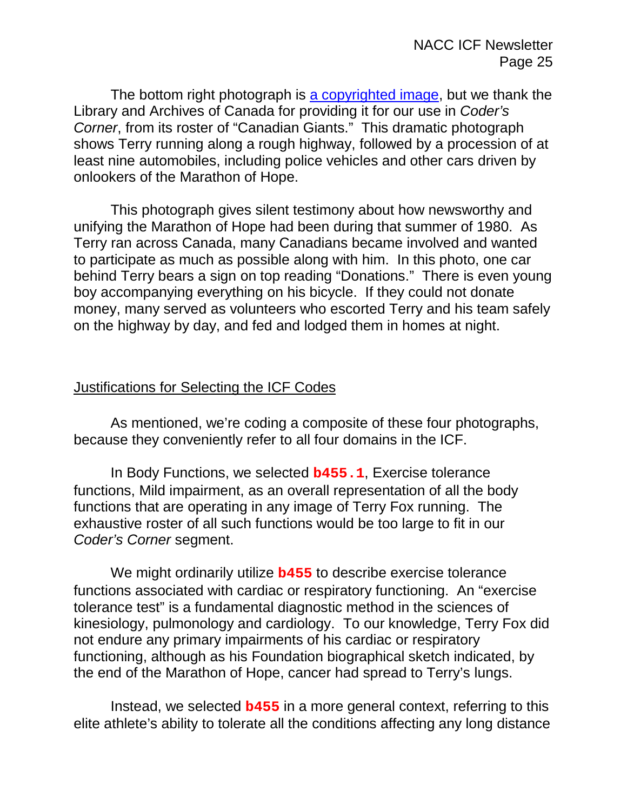The bottom right photograph is [a copyrighted image,](http://www.collectionscanada.gc.ca/cool/002027-2106-e.html) but we thank the Library and Archives of Canada for providing it for our use in *Coder's Corner*, from its roster of "Canadian Giants." This dramatic photograph shows Terry running along a rough highway, followed by a procession of at least nine automobiles, including police vehicles and other cars driven by onlookers of the Marathon of Hope.

This photograph gives silent testimony about how newsworthy and unifying the Marathon of Hope had been during that summer of 1980. As Terry ran across Canada, many Canadians became involved and wanted to participate as much as possible along with him. In this photo, one car behind Terry bears a sign on top reading "Donations." There is even young boy accompanying everything on his bicycle. If they could not donate money, many served as volunteers who escorted Terry and his team safely on the highway by day, and fed and lodged them in homes at night.

### Justifications for Selecting the ICF Codes

As mentioned, we're coding a composite of these four photographs, because they conveniently refer to all four domains in the ICF.

In Body Functions, we selected **b455.1**, Exercise tolerance functions, Mild impairment, as an overall representation of all the body functions that are operating in any image of Terry Fox running. The exhaustive roster of all such functions would be too large to fit in our *Coder's Corner* segment.

We might ordinarily utilize **b455** to describe exercise tolerance functions associated with cardiac or respiratory functioning. An "exercise tolerance test" is a fundamental diagnostic method in the sciences of kinesiology, pulmonology and cardiology. To our knowledge, Terry Fox did not endure any primary impairments of his cardiac or respiratory functioning, although as his Foundation biographical sketch indicated, by the end of the Marathon of Hope, cancer had spread to Terry's lungs.

Instead, we selected **b455** in a more general context, referring to this elite athlete's ability to tolerate all the conditions affecting any long distance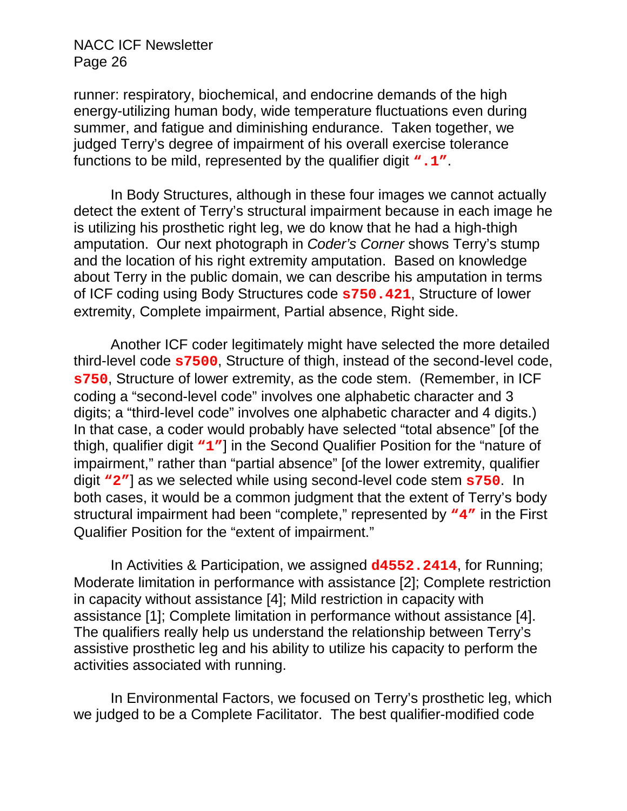runner: respiratory, biochemical, and endocrine demands of the high energy-utilizing human body, wide temperature fluctuations even during summer, and fatigue and diminishing endurance. Taken together, we judged Terry's degree of impairment of his overall exercise tolerance functions to be mild, represented by the qualifier digit **".1"**.

In Body Structures, although in these four images we cannot actually detect the extent of Terry's structural impairment because in each image he is utilizing his prosthetic right leg, we do know that he had a high-thigh amputation. Our next photograph in *Coder's Corner* shows Terry's stump and the location of his right extremity amputation. Based on knowledge about Terry in the public domain, we can describe his amputation in terms of ICF coding using Body Structures code **s750.421**, Structure of lower extremity, Complete impairment, Partial absence, Right side.

Another ICF coder legitimately might have selected the more detailed third-level code **s7500**, Structure of thigh, instead of the second-level code, **s750**, Structure of lower extremity, as the code stem. (Remember, in ICF coding a "second-level code" involves one alphabetic character and 3 digits; a "third-level code" involves one alphabetic character and 4 digits.) In that case, a coder would probably have selected "total absence" [of the thigh, qualifier digit **"1"**] in the Second Qualifier Position for the "nature of impairment," rather than "partial absence" [of the lower extremity, qualifier digit **"2"**] as we selected while using second-level code stem **s750**. In both cases, it would be a common judgment that the extent of Terry's body structural impairment had been "complete," represented by **"4"** in the First Qualifier Position for the "extent of impairment."

In Activities & Participation, we assigned **d4552.2414**, for Running; Moderate limitation in performance with assistance [2]; Complete restriction in capacity without assistance [4]; Mild restriction in capacity with assistance [1]; Complete limitation in performance without assistance [4]. The qualifiers really help us understand the relationship between Terry's assistive prosthetic leg and his ability to utilize his capacity to perform the activities associated with running.

In Environmental Factors, we focused on Terry's prosthetic leg, which we judged to be a Complete Facilitator. The best qualifier-modified code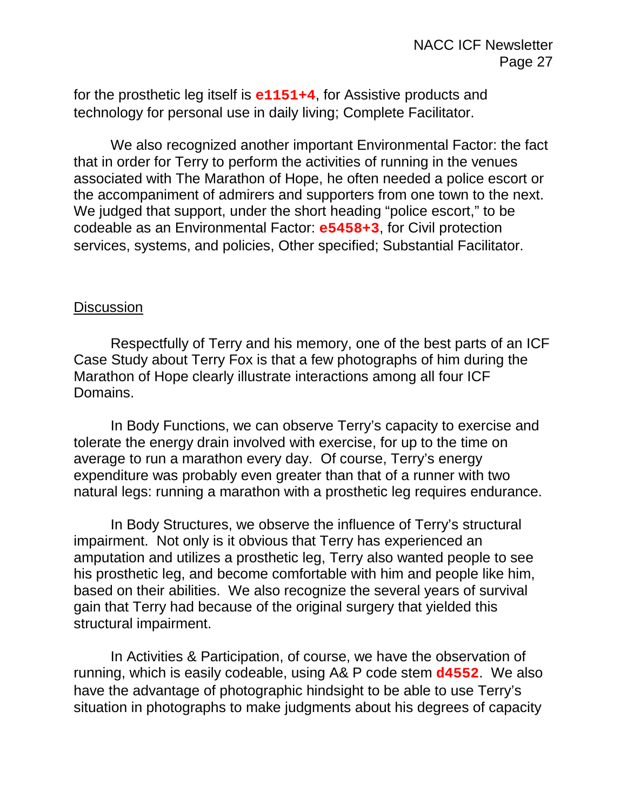for the prosthetic leg itself is **e1151+4**, for Assistive products and technology for personal use in daily living; Complete Facilitator.

We also recognized another important Environmental Factor: the fact that in order for Terry to perform the activities of running in the venues associated with The Marathon of Hope, he often needed a police escort or the accompaniment of admirers and supporters from one town to the next. We judged that support, under the short heading "police escort," to be codeable as an Environmental Factor: **e5458+3**, for Civil protection services, systems, and policies, Other specified; Substantial Facilitator.

#### **Discussion**

Respectfully of Terry and his memory, one of the best parts of an ICF Case Study about Terry Fox is that a few photographs of him during the Marathon of Hope clearly illustrate interactions among all four ICF Domains.

In Body Functions, we can observe Terry's capacity to exercise and tolerate the energy drain involved with exercise, for up to the time on average to run a marathon every day. Of course, Terry's energy expenditure was probably even greater than that of a runner with two natural legs: running a marathon with a prosthetic leg requires endurance.

In Body Structures, we observe the influence of Terry's structural impairment. Not only is it obvious that Terry has experienced an amputation and utilizes a prosthetic leg, Terry also wanted people to see his prosthetic leg, and become comfortable with him and people like him, based on their abilities. We also recognize the several years of survival gain that Terry had because of the original surgery that yielded this structural impairment.

In Activities & Participation, of course, we have the observation of running, which is easily codeable, using A& P code stem **d4552**. We also have the advantage of photographic hindsight to be able to use Terry's situation in photographs to make judgments about his degrees of capacity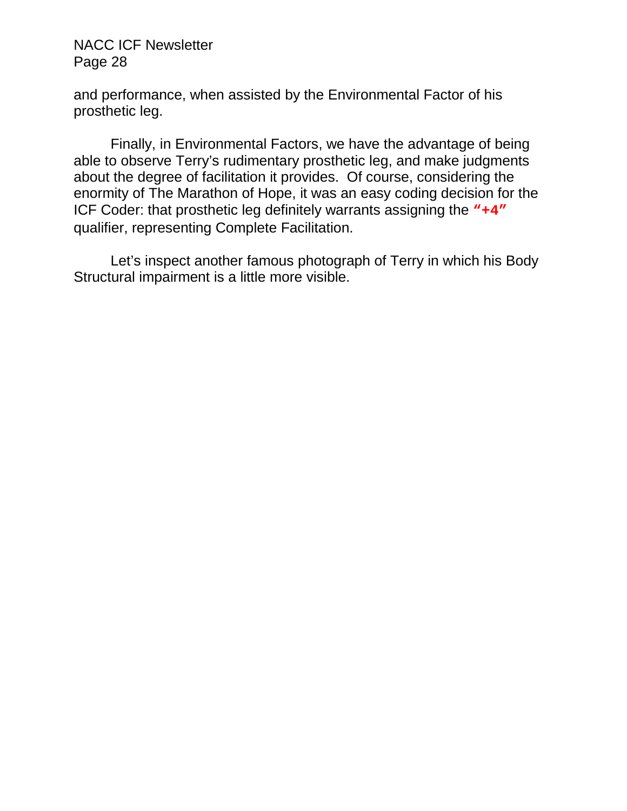and performance, when assisted by the Environmental Factor of his prosthetic leg.

Finally, in Environmental Factors, we have the advantage of being able to observe Terry's rudimentary prosthetic leg, and make judgments about the degree of facilitation it provides. Of course, considering the enormity of The Marathon of Hope, it was an easy coding decision for the ICF Coder: that prosthetic leg definitely warrants assigning the **"+4"** qualifier, representing Complete Facilitation.

Let's inspect another famous photograph of Terry in which his Body Structural impairment is a little more visible.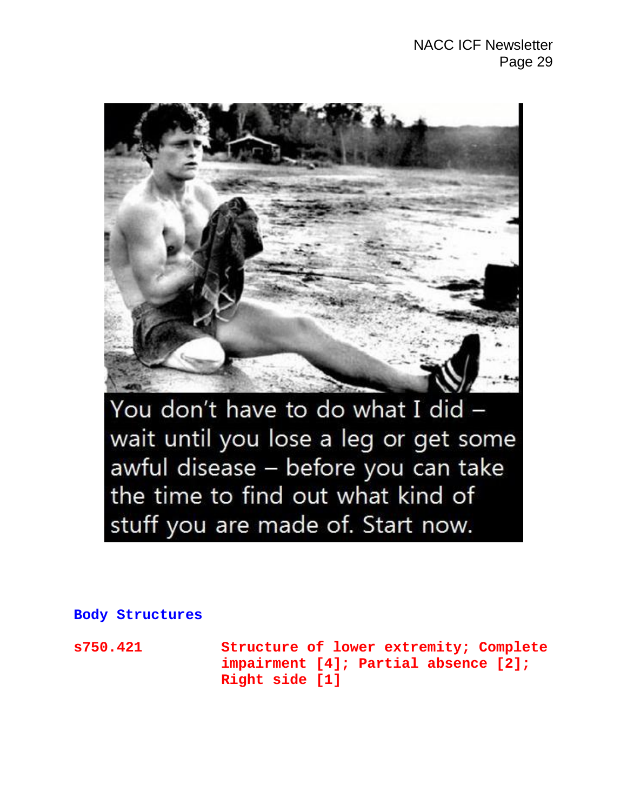

You don't have to do what I did wait until you lose a leg or get some awful disease - before you can take the time to find out what kind of stuff you are made of. Start now.

#### **Body Structures**

**s750.421 Structure of lower extremity; Complete impairment [4]; Partial absence [2]; Right side [1]**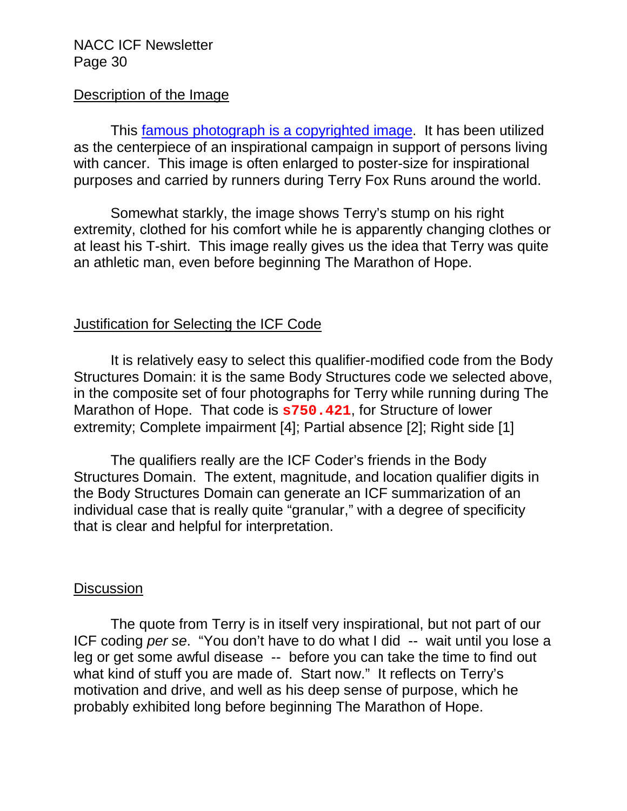#### Description of the Image

This [famous photograph is a copyrighted image.](http://itrustican.blogspot.com/2010/11/terry-fox-story.html) It has been utilized as the centerpiece of an inspirational campaign in support of persons living with cancer. This image is often enlarged to poster-size for inspirational purposes and carried by runners during Terry Fox Runs around the world.

Somewhat starkly, the image shows Terry's stump on his right extremity, clothed for his comfort while he is apparently changing clothes or at least his T-shirt. This image really gives us the idea that Terry was quite an athletic man, even before beginning The Marathon of Hope.

#### Justification for Selecting the ICF Code

It is relatively easy to select this qualifier-modified code from the Body Structures Domain: it is the same Body Structures code we selected above, in the composite set of four photographs for Terry while running during The Marathon of Hope. That code is **s750.421**, for Structure of lower extremity; Complete impairment [4]; Partial absence [2]; Right side [1]

The qualifiers really are the ICF Coder's friends in the Body Structures Domain. The extent, magnitude, and location qualifier digits in the Body Structures Domain can generate an ICF summarization of an individual case that is really quite "granular," with a degree of specificity that is clear and helpful for interpretation.

#### **Discussion**

The quote from Terry is in itself very inspirational, but not part of our ICF coding *per se*. "You don't have to do what I did -- wait until you lose a leg or get some awful disease -- before you can take the time to find out what kind of stuff you are made of. Start now." It reflects on Terry's motivation and drive, and well as his deep sense of purpose, which he probably exhibited long before beginning The Marathon of Hope.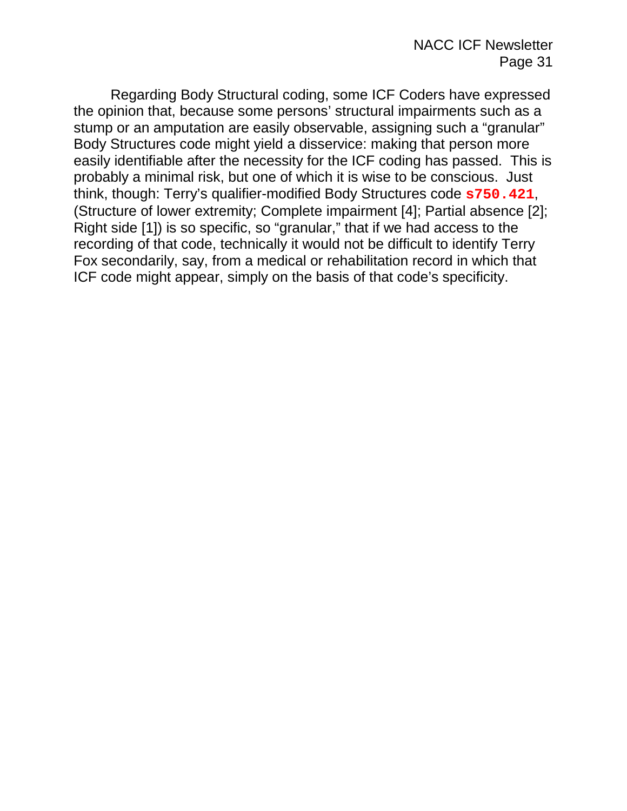Regarding Body Structural coding, some ICF Coders have expressed the opinion that, because some persons' structural impairments such as a stump or an amputation are easily observable, assigning such a "granular" Body Structures code might yield a disservice: making that person more easily identifiable after the necessity for the ICF coding has passed. This is probably a minimal risk, but one of which it is wise to be conscious. Just think, though: Terry's qualifier-modified Body Structures code **s750.421**, (Structure of lower extremity; Complete impairment [4]; Partial absence [2]; Right side [1]) is so specific, so "granular," that if we had access to the recording of that code, technically it would not be difficult to identify Terry Fox secondarily, say, from a medical or rehabilitation record in which that ICF code might appear, simply on the basis of that code's specificity.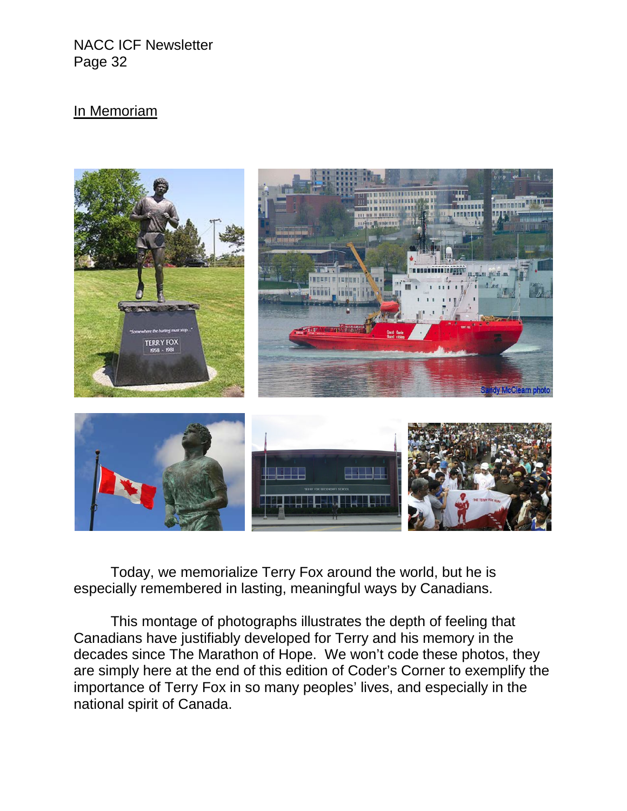#### In Memoriam



Today, we memorialize Terry Fox around the world, but he is especially remembered in lasting, meaningful ways by Canadians.

This montage of photographs illustrates the depth of feeling that Canadians have justifiably developed for Terry and his memory in the decades since The Marathon of Hope. We won't code these photos, they are simply here at the end of this edition of Coder's Corner to exemplify the importance of Terry Fox in so many peoples' lives, and especially in the national spirit of Canada.